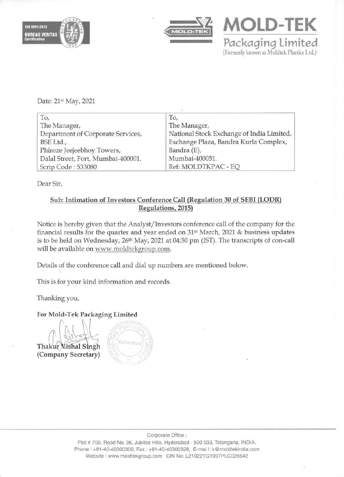



**MOLD-TEK** *Packaqinq* **limited (Fonnerly known as Moldtek Plastics Ltd.)** 

Date: 21st May, 2021

| To,                                | To,                                       |
|------------------------------------|-------------------------------------------|
| The Manager,                       | The Manager,                              |
| Department of Corporate Services,  | National Stock Exchange of India Limited, |
| BSE Ltd.,                          | Exchange Plaza, Bandra Kurla Complex,     |
| Phiroze Jeejeebhoy Towers,         | Bandra (E),                               |
| Dalal Street, Fort, Mumbai-400001. | Mumbai-400051.                            |
| Scrip Code: 533080                 | Ref: MOLDTKPAC - EQ                       |

**Dear Sir,** 

## Sub: Intimation of Investors Conference Call (Regulation 30 of SEBI (LODR) **Regulations, 2015)**

**Notice is hereby given that the Analyst/Investors conference call of the company for the**  financial results for the quarter and year ended on 31<sup>st</sup> March, 2021 & business updates is to be held on Wednesday, 26<sup>th</sup> May, 2021 at 04:30 pm (IST). The transcripts of con-call **will be available on www.moldtekgroup.com.** 

**Details of the conference call and dial up numbers are mentioned below.** 

**lhis is for your kind information and records.** 

**Thanking you,** 

**For Mold-Tek Packaging Limited** 

Thakur Vishal Singh (Company Secretary)